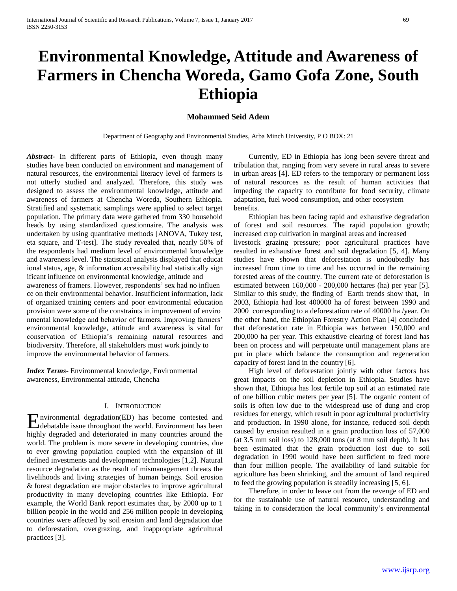# **Environmental Knowledge, Attitude and Awareness of Farmers in Chencha Woreda, Gamo Gofa Zone, South Ethiopia**

# **Mohammed Seid Adem**

Department of Geography and Environmental Studies, Arba Minch University, P O BOX: 21

*Abstract***-** In different parts of Ethiopia, even though many studies have been conducted on environment and management of natural resources, the environmental literacy level of farmers is not utterly studied and analyzed. Therefore, this study was designed to assess the environmental knowledge, attitude and awareness of farmers at Chencha Woreda, Southern Ethiopia. Stratified and systematic samplings were applied to select target population. The primary data were gathered from 330 household heads by using standardized questionnaire. The analysis was undertaken by using quantitative methods [ANOVA, Tukey test, eta square, and T-test]. The study revealed that, nearly 50% of the respondents had medium level of environmental knowledge and awareness level. The statistical analysis displayed that educat ional status, age, & information accessibility had statistically sign ificant influence on environmental knowledge, attitude and awareness of framers. However, respondents' sex had no influen ce on their environmental behavior. Insufficient information, lack of organized training centers and poor environmental education provision were some of the constraints in improvement of enviro nmental knowledge and behavior of farmers. Improving farmers' environmental knowledge, attitude and awareness is vital for conservation of Ethiopia's remaining natural resources and biodiversity. Therefore, all stakeholders must work jointly to improve the environmental behavior of farmers.

*Index Terms*- Environmental knowledge, Environmental awareness, Environmental attitude, Chencha

# I. INTRODUCTION

nvironmental degradation(ED) has become contested and **E**nvironmental degradation(ED) has become contested and debatable issue throughout the world. Environment has been highly degraded and deteriorated in many countries around the world. The problem is more severe in developing countries, due to ever growing population coupled with the expansion of ill defined investments and development technologies [1,2]. Natural resource degradation as the result of mismanagement threats the livelihoods and living strategies of human beings. Soil erosion & forest degradation are major obstacles to improve agricultural productivity in many developing countries like Ethiopia. For example, the World Bank report estimates that, by 2000 up to 1 billion people in the world and 256 million people in developing countries were affected by soil erosion and land degradation due to deforestation, overgrazing, and inappropriate agricultural practices [3].

 Currently, ED in Ethiopia has long been severe threat and tribulation that, ranging from very severe in rural areas to severe in urban areas [4]. ED refers to the temporary or permanent loss of natural resources as the result of human activities that impeding the capacity to contribute for food security, climate adaptation, fuel wood consumption, and other ecosystem benefits.

 Ethiopian has been facing rapid and exhaustive degradation of forest and soil resources. The rapid population growth; increased crop cultivation in marginal areas and increased livestock grazing pressure; poor agricultural practices have resulted in exhaustive forest and soil degradation [5, 4]. Many studies have shown that deforestation is undoubtedly has increased from time to time and has occurred in the remaining forested areas of the country. The current rate of deforestation is estimated between 160,000 - 200,000 hectares (ha) per year [5]. Similar to this study, the finding of Earth trends show that, in 2003, Ethiopia had lost 400000 ha of forest between 1990 and 2000 corresponding to a deforestation rate of 40000 ha /year. On the other hand, the Ethiopian Forestry Action Plan [4] concluded that deforestation rate in Ethiopia was between 150,000 and 200,000 ha per year. This exhaustive clearing of forest land has been on process and will perpetuate until management plans are put in place which balance the consumption and regeneration capacity of forest land in the country [6].

 High level of deforestation jointly with other factors has great impacts on the soil depletion in Ethiopia. Studies have shown that, Ethiopia has lost fertile top soil at an estimated rate of one billion cubic meters per year [5]. The organic content of soils is often low due to the widespread use of dung and crop residues for energy, which result in poor agricultural productivity and production. In 1990 alone, for instance, reduced soil depth caused by erosion resulted in a grain production loss of 57,000 (at 3.5 mm soil loss) to 128,000 tons (at 8 mm soil depth). It has been estimated that the grain production lost due to soil degradation in 1990 would have been sufficient to feed more than four million people. The availability of land suitable for agriculture has been shrinking, and the amount of land required to feed the growing population is steadily increasing [5, 6].

 Therefore, in order to leave out from the revenge of ED and for the sustainable use of natural resource, understanding and taking in to consideration the local community's environmental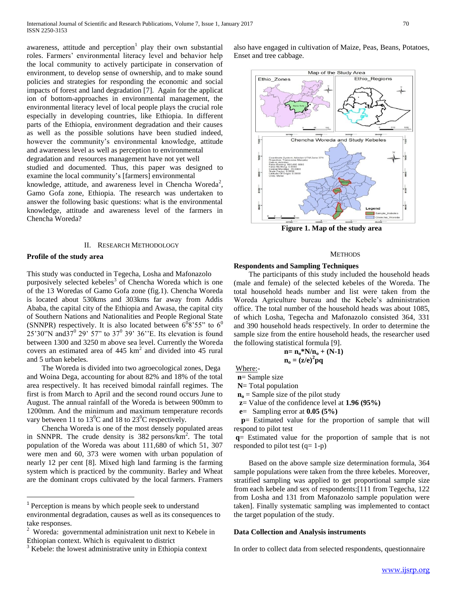awareness, attitude and perception  $1$  play their own substantial roles. Farmers' environmental literacy level and behavior help the local community to actively participate in conservation of environment, to develop sense of ownership, and to make sound policies and strategies for responding the economic and social impacts of forest and land degradation [7]. Again for the applicat ion of bottom-approaches in environmental management, the environmental literacy level of local people plays the crucial role especially in developing countries, like Ethiopia. In different parts of the Ethiopia, environment degradation and their causes as well as the possible solutions have been studied indeed, however the community's environmental knowledge, attitude and awareness level as well as perception to environmental degradation and resources management have not yet well studied and documented. Thus, this paper was designed to examine the local community's [farmers] environmental knowledge, attitude, and awareness level in Chencha Woreda<sup>2</sup>, Gamo Gofa zone, Ethiopia. The research was undertaken to answer the following basic questions: what is the environmental knowledge, attitude and awareness level of the farmers in Chencha Woreda?

#### II. RESEARCH METHODOLOGY

## **Profile of the study area**

 $\overline{a}$ 

This study was conducted in Tegecha, Losha and Mafonazolo purposively selected kebeles<sup>3</sup> of Chencha Woreda which is one of the 13 Woredas of Gamo Gofa zone (fig.1). Chencha Woreda is located about 530kms and 303kms far away from Addis Ababa, the capital city of the Ethiopia and Awasa, the capital city of Southern Nations and Nationalities and People Regional State (SNNPR) respectively. It is also located between  $6^{0}8'55"$  to  $6^{0}$  $25'30''$ N and $37^0$  29' 57" to 37<sup>0</sup> 39' 36"E. Its elevation is found between 1300 and 3250 m above sea level. Currently the Woreda covers an estimated area of  $445 \text{ km}^2$  and divided into  $45 \text{ rural}$ and 5 urban kebeles.

 The Woreda is divided into two agroecological zones, Dega and Woina Dega, accounting for about 82% and 18% of the total area respectively. It has received bimodal rainfall regimes. The first is from March to April and the second round occurs June to August. The annual rainfall of the Woreda is between 900mm to 1200mm. And the minimum and maximum temperature records vary between 11 to  $13^0C$  and 18 to  $23^0C$  respectively.

 Chencha Woreda is one of the most densely populated areas in SNNPR. The crude density is  $382$  persons/ $km^2$ . The total population of the Woreda was about 111,680 of which 51, 307 were men and 60, 373 were women with urban population of nearly 12 per cent [8]. Mixed high land farming is the farming system which is practiced by the community. Barley and Wheat are the dominant crops cultivated by the local farmers. Framers

also have engaged in cultivation of Maize, Peas, Beans, Potatoes, Enset and tree cabbage.



**Figure 1. Map of the study area**

#### **METHODS**

#### **Respondents and Sampling Techniques**

 The participants of this study included the household heads (male and female) of the selected kebeles of the Woreda. The total household heads number and list were taken from the Woreda Agriculture bureau and the Kebele's administration office. The total number of the household heads was about 1085, of which Losha, Tegecha and Mafonazolo consisted 364, 331 and 390 household heads respectively. In order to determine the sample size from the entire household heads, the researcher used the following statistical formula [9].

$$
\mathbf{n} = \mathbf{n}_0^* \mathbf{N} / \mathbf{n}_0 + (\mathbf{N} \cdot \mathbf{1})
$$

$$
\mathbf{n}_0 = (\mathbf{z}/\mathbf{e})^2 \mathbf{p} \mathbf{q}
$$

Where:-

 **n**= Sample size  **N**= Total population

 $\mathbf{n}_0$  = Sample size of the pilot study

**z**= Value of the confidence level at **1.96 (95%)**

 **e**= Sampling error at **0.05 (5%)**

 **p**= Estimated value for the proportion of sample that will respond to pilot test

**q**= Estimated value for the proportion of sample that is not responded to pilot test  $(q=1-p)$ 

 Based on the above sample size determination formula, 364 sample populations were taken from the three kebeles. Moreover, stratified sampling was applied to get proportional sample size from each kebele and sex of respondents:[111 from Tegecha, 122 from Losha and 131 from Mafonazolo sample population were taken]. Finally systematic sampling was implemented to contact the target population of the study.

#### **Data Collection and Analysis instruments**

In order to collect data from selected respondents, questionnaire

<sup>&</sup>lt;sup>1</sup> Perception is means by which people seek to understand environmental degradation, causes as well as its consequences to take responses.

<sup>2</sup> Woreda: governmental administration unit next to Kebele in Ethiopian context. Which is equivalent to district

Kebele: the lowest administrative unity in Ethiopia context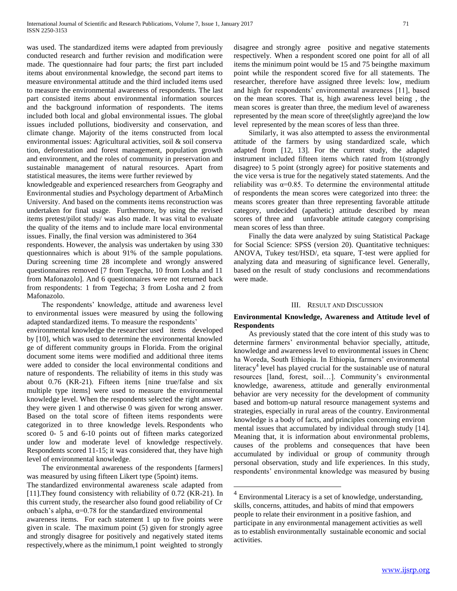was used. The standardized items were adapted from previously conducted research and further revision and modification were made. The questionnaire had four parts; the first part included items about environmental knowledge, the second part items to measure environmental attitude and the third included items used to measure the environmental awareness of respondents. The last part consisted items about environmental information sources and the background information of respondents. The items included both local and global environmental issues. The global issues included pollutions, biodiversity and conservation, and climate change. Majority of the items constructed from local environmental issues: Agricultural activities, soil & soil conserva tion, deforestation and forest management, population growth and environment, and the roles of community in preservation and sustainable management of natural resources. Apart from statistical measures, the items were further reviewed by

knowledgeable and experienced researchers from Geography and Environmental studies and Psychology department of ArbaMinch University. And based on the comments items reconstruction was undertaken for final usage. Furthermore, by using the revised items pretest/pilot study/ was also made. It was vital to evaluate the quality of the items and to include mare local environmental issues. Finally, the final version was administered to 364

respondents. However, the analysis was undertaken by using 330 questionnaires which is about 91% of the sample populations. During screening time 28 incomplete and wrongly answered questionnaires removed [7 from Tegecha, 10 from Losha and 11 from Mafonazolo]. And 6 questionnaires were not returned back from respondents: 1 from Tegecha; 3 from Losha and 2 from Mafonazolo.

 The respondents' knowledge, attitude and awareness level to environmental issues were measured by using the following adapted standardized items. To measure the respondents'

environmental knowledge the researcher used items developed by [10], which was used to determine the environmental knowled ge of different community groups in Florida. From the original document some items were modified and additional three items were added to consider the local environmental conditions and nature of respondents. The reliability of items in this study was about 0.76 (KR-21). Fifteen items [nine true/false and six multiple type items] were used to measure the environmental knowledge level. When the respondents selected the right answer they were given 1 and otherwise 0 was given for wrong answer. Based on the total score of fifteen items respondents were categorized in to three knowledge levels. Respondents who scored 0- 5 and 6-10 points out of fifteen marks categorized under low and moderate level of knowledge respectively. Respondents scored 11-15; it was considered that, they have high level of environmental knowledge.

 The environmental awareness of the respondents [farmers] was measured by using fifteen Likert type (5point) items.

disagree and strongly agree positive and negative statements respectively. When a respondent scored one point for all of all items the minimum point would be 15 and 75 beingthe maximum point while the respondent scored five for all statements. The researcher, therefore have assigned three levels: low, medium and high for respondents' environmental awareness [11], based on the mean scores. That is, high awareness level being , the mean scores is greater than three, the medium level of awareness represented by the mean score of three(slightly agree)and the low level represented by the mean scores of less than three.

 Similarly, it was also attempted to assess the environmental attitude of the farmers by using standardized scale, which adapted from [12, 13]. For the current study, the adapted instrument included fifteen items which rated from 1(strongly disagree) to 5 point (strongly agree) for positive statements and the vice versa is true for the negatively stated statements. And the reliability was  $\alpha=0.85$ . To determine the environmental attitude of respondents the mean scores were categorized into three: the means scores greater than three representing favorable attitude category, undecided (apathetic) attitude described by mean scores of three and unfavorable attitude category comprising mean scores of less than three.

 Finally the data were analyzed by suing Statistical Package for Social Science: SPSS (version 20). Quantitative techniques: ANOVA, Tukey test/HSD/, eta square, T-test were applied for analyzing data and measuring of significance level. Generally, based on the result of study conclusions and recommendations were made.

#### III. RESULT AND DISCUSSION

# **Environmental Knowledge, Awareness and Attitude level of Respondents**

 As previously stated that the core intent of this study was to determine farmers' environmental behavior specially, attitude, knowledge and awareness level to environmental issues in Chenc ha Woreda, South Ethiopia. In Ethiopia, farmers' environmental literacy<sup>4</sup> level has played crucial for the sustainable use of natural resources [land, forest, soil…]. Community's environmental knowledge, awareness, attitude and generally environmental behavior are very necessity for the development of community based and bottom-up natural resource management systems and strategies, especially in rural areas of the country. Environmental knowledge is a body of facts, and principles concerning environ mental issues that accumulated by individual through study [14]. Meaning that, it is information about environmental problems, causes of the problems and consequences that have been accumulated by individual or group of community through personal observation, study and life experiences. In this study, respondents' environmental knowledge was measured by busing

 $\overline{a}$ 

The standardized environmental awareness scale adapted from [11].They found consistency with reliability of 0.72 (KR-21). In this current study, the researcher also found good reliability of Cr onbach's alpha,  $\alpha$ =0.78 for the standardized environmental awareness items. For each statement 1 up to five points were given in scale. The maximum point (5) given for strongly agree and strongly disagree for positively and negatively stated items respectively,where as the minimum,1 point weighted to strongly

 $4$  Environmental Literacy is a set of knowledge, understanding, skills, concerns, attitudes, and habits of mind that empowers people to relate their environment in a positive fashion, and participate in any environmental management activities as well as to establish environmentally sustainable economic and social activities.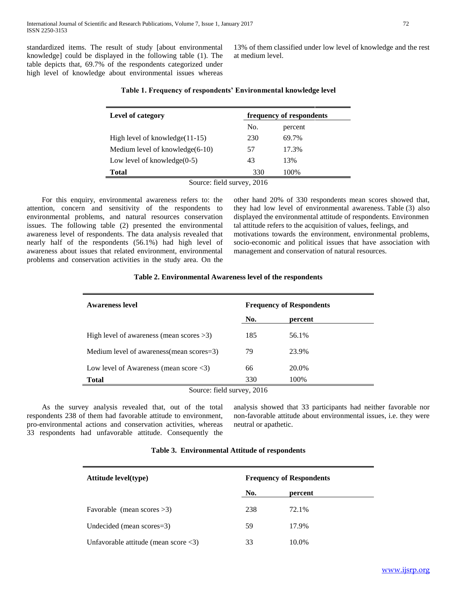standardized items. The result of study [about environmental knowledge] could be displayed in the following table (1). The table depicts that, 69.7% of the respondents categorized under high level of knowledge about environmental issues whereas

13% of them classified under low level of knowledge and the rest at medium level.

| Level of category                  |     | frequency of respondents |
|------------------------------------|-----|--------------------------|
|                                    | No. | percent                  |
| High level of knowledge $(11-15)$  | 230 | 69.7%                    |
| Medium level of knowledge $(6-10)$ | 57  | 17.3%                    |
| Low level of knowledge $(0-5)$     | 43  | 13%                      |
| Total                              | 330 | 100\%                    |

## **Table 1. Frequency of respondents' Environmental knowledge level**

 For this enquiry, environmental awareness refers to: the attention, concern and sensitivity of the respondents to environmental problems, and natural resources conservation issues. The following table (2) presented the environmental awareness level of respondents. The data analysis revealed that nearly half of the respondents (56.1%) had high level of awareness about issues that related environment, environmental problems and conservation activities in the study area. On the other hand 20% of 330 respondents mean scores showed that, they had low level of environmental awareness. Table (3) also displayed the environmental attitude of respondents. Environmen tal attitude refers to the acquisition of values, feelings, and motivations towards the environment, environmental problems, socio-economic and political issues that have association with management and conservation of natural resources.

| No. | percent                    |
|-----|----------------------------|
| 185 | 56.1%                      |
| 79  | 23.9%                      |
| 66  | 20.0%                      |
| 330 | 100%                       |
|     | Source: field survey, 2016 |

## **Table 2. Environmental Awareness level of the respondents**

 As the survey analysis revealed that, out of the total respondents 238 of them had favorable attitude to environment, pro-environmental actions and conservation activities, whereas 33 respondents had unfavorable attitude. Consequently the

analysis showed that 33 participants had neither favorable nor non-favorable attitude about environmental issues, i.e. they were neutral or apathetic.

#### **Table 3. Environmental Attitude of respondents**

| <b>Attitude level</b> (type)                           | <b>Frequency of Respondents</b> |         |  |  |
|--------------------------------------------------------|---------------------------------|---------|--|--|
|                                                        | No.                             | percent |  |  |
| Favorable (mean scores $>3$ )                          | 238                             | 72.1%   |  |  |
| Undecided (mean scores=3)                              | 59                              | 17.9%   |  |  |
| Unfavorable attitude (mean score $\langle 3 \rangle$ ) | 33                              | 10.0%   |  |  |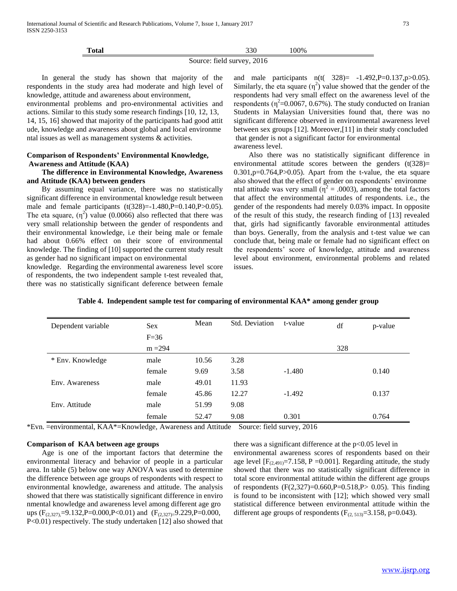| m<br>Total |  | າາດ<br>JJV | '00% |  |
|------------|--|------------|------|--|
|            |  |            |      |  |

Source: field survey, 2016

 In general the study has shown that majority of the respondents in the study area had moderate and high level of knowledge, attitude and awareness about environment,

environmental problems and pro-environmental activities and actions. Similar to this study some research findings [10, 12, 13, 14, 15, 16] showed that majority of the participants had good attit ude, knowledge and awareness about global and local environme ntal issues as well as management systems & activities.

# **Comparison of Respondents' Environmental Knowledge, Awareness and Attitude (KAA)**

# **The difference in Environmental Knowledge, Awareness and Attitude (KAA) between genders**

 By assuming equal variance, there was no statistically significant difference in environmental knowledge result between male and female participants  $(t(328)=1.480,P=0.140,P>0.05)$ . The eta square,  $(\eta^2)$  value (0.0066) also reflected that there was very small relationship between the gender of respondents and their environmental knowledge, i.e their being male or female had about 0.66% effect on their score of environmental knowledge. The finding of [10] supported the current study result as gender had no significant impact on environmental

knowledge. Regarding the environmental awareness level score of respondents, the two independent sample t-test revealed that, there was no statistically significant deference between female and male participants n(t( 328)= -1.492,P=0.137,p>0.05). Similarly, the eta square  $(\eta^2)$  value showed that the gender of the respondents had very small effect on the awareness level of the respondents ( $\eta^2$ =0.0067, 0.67%). The study conducted on Iranian Students in Malaysian Universities found that, there was no significant difference observed in environmental awareness level between sex groups [12]. Moreover,[11] in their study concluded that gender is not a significant factor for environmental awareness level.

 Also there was no statistically significant difference in environmental attitude scores between the genders  $(t(328))$ = 0.301,p=0.764,P>0.05). Apart from the t-value, the eta square also showed that the effect of gender on respondents' environme ntal attitude was very small ( $\eta^2 = .0003$ ), among the total factors that affect the environmental attitudes of respondents. i.e., the gender of the respondents had merely 0.03% impact. In opposite of the result of this study, the research finding of [13] revealed that, girls had significantly favorable environmental attitudes than boys. Generally, from the analysis and t-test value we can conclude that, being male or female had no significant effect on the respondents' score of knowledge, attitude and awareness level about environment, environmental problems and related issues.

| Dependent variable | <b>Sex</b> | Mean  | Std. Deviation | t-value  | df  | p-value |
|--------------------|------------|-------|----------------|----------|-----|---------|
|                    | $F=36$     |       |                |          |     |         |
|                    | $m = 294$  |       |                |          | 328 |         |
| * Env. Knowledge   | male       | 10.56 | 3.28           |          |     |         |
|                    | female     | 9.69  | 3.58           | $-1.480$ |     | 0.140   |
| Env. Awareness     | male       | 49.01 | 11.93          |          |     |         |
|                    | female     | 45.86 | 12.27          | $-1.492$ |     | 0.137   |
| Env. Attitude      | male       | 51.99 | 9.08           |          |     |         |
|                    | female     | 52.47 | 9.08           | 0.301    |     | 0.764   |

**Table 4. Independent sample test for comparing of environmental KAA\* among gender group**

\*Evn. =environmental, KAA\*=Knowledge, Awareness and Attitude Source: field survey, 2016

## **Comparison of KAA between age groups**

 Age is one of the important factors that determine the environmental literacy and behavior of people in a particular area. In table (5) below one way ANOVA was used to determine the difference between age groups of respondents with respect to environmental knowledge, awareness and attitude. The analysis showed that there was statistically significant difference in enviro nmental knowledge and awareness level among different age gro ups  $(F_{(2,327)}=9.132, P=0.000, P<0.01)$  and  $(F_{(2,327)}=9.229, P=0.000, P<0.01)$ P<0.01) respectively. The study undertaken [12] also showed that there was a significant difference at the  $p<0.05$  level in environmental awareness scores of respondents based on their age level  $[F_{(2,491)}=7.158, P=0.001]$ . Regarding attitude, the study showed that there was no statistically significant difference in total score environmental attitude within the different age groups of respondents  $(F(2,327)=0.660,P=0.518,P> 0.05)$ . This finding is found to be inconsistent with [12]; which showed very small statistical difference between environmental attitude within the different age groups of respondents  $(F_{(2, 513)}=3.158, p=0.043)$ .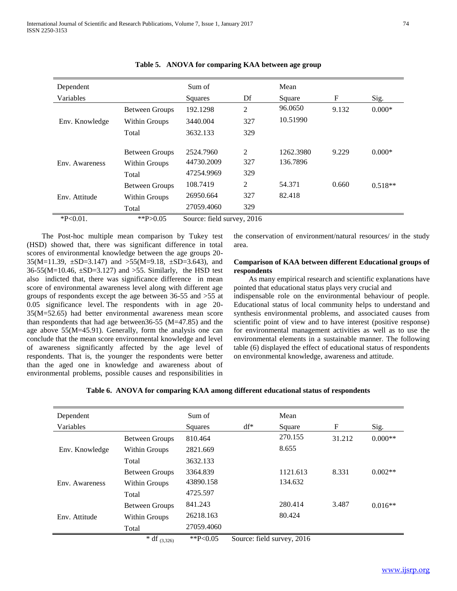| Dependent<br>Variables |                                                 | Sum of<br>Squares                     | Df              | Mean<br>Square        | F     | Sig.      |
|------------------------|-------------------------------------------------|---------------------------------------|-----------------|-----------------------|-------|-----------|
|                        | <b>Between Groups</b>                           | 192.1298                              | 2               | 96.0650               | 9.132 | $0.000*$  |
| Env. Knowledge         | Within Groups                                   | 3440.004                              | 327             | 10.51990              |       |           |
|                        | Total                                           | 3632.133                              | 329             |                       |       |           |
| Env. Awareness         | <b>Between Groups</b><br>Within Groups<br>Total | 2524.7960<br>44730.2009<br>47254.9969 | 2<br>327<br>329 | 1262.3980<br>136.7896 | 9.229 | $0.000*$  |
|                        | <b>Between Groups</b>                           | 108.7419                              | 2               | 54.371                | 0.660 | $0.518**$ |
| Env. Attitude          | Within Groups                                   | 26950.664                             | 327             | 82.418                |       |           |
|                        | Total                                           | 27059.4060                            | 329             |                       |       |           |
| $*P<0.01$ .            | **P>0.05                                        | Source: field survey, 2016            |                 |                       |       |           |

|  |  |  | Table 5. ANOVA for comparing KAA between age group |
|--|--|--|----------------------------------------------------|
|--|--|--|----------------------------------------------------|

 The Post-hoc multiple mean comparison by Tukey test (HSD) showed that, there was significant difference in total scores of environmental knowledge between the age groups 20- 35(M=11.39, ±SD=3.147) and >55(M=9.18, ±SD=3.643), and 36-55(M=10.46, ±SD=3.127) and >55. Similarly, the HSD test also indicted that, there was significance difference in mean score of environmental awareness level along with different age groups of respondents except the age between 36-55 and >55 at 0.05 significance level. The respondents with in age 20- 35(M=52.65) had better environmental awareness mean score than respondents that had age between36-55 (M=47.85) and the age above 55(M=45.91). Generally, form the analysis one can conclude that the mean score environmental knowledge and level of awareness significantly affected by the age level of respondents. That is, the younger the respondents were better than the aged one in knowledge and awareness about of environmental problems, possible causes and responsibilities in the conservation of environment/natural resources/ in the study area.

## **Comparison of KAA between different Educational groups of respondents**

 As many empirical research and scientific explanations have pointed that educational status plays very crucial and

indispensable role on the environmental behaviour of people. Educational status of local community helps to understand and synthesis environmental problems, and associated causes from scientific point of view and to have interest (positive response) for environmental management activities as well as to use the environmental elements in a sustainable manner. The following table (6) displayed the effect of educational status of respondents on environmental knowledge, awareness and attitude.

|  |  |  | Table 6. ANOVA for comparing KAA among different educational status of respondents |  |  |
|--|--|--|------------------------------------------------------------------------------------|--|--|
|  |  |  |                                                                                    |  |  |

| Dependent      |                       | Sum of      |        | Mean                       |        |           |
|----------------|-----------------------|-------------|--------|----------------------------|--------|-----------|
| Variables      |                       | Squares     | $df^*$ | Square                     | F      | Sig.      |
|                | <b>Between Groups</b> | 810.464     |        | 270.155                    | 31.212 | $0.000**$ |
| Env. Knowledge | Within Groups         | 2821.669    |        | 8.655                      |        |           |
|                | Total                 | 3632.133    |        |                            |        |           |
|                | <b>Between Groups</b> | 3364.839    |        | 1121.613                   | 8.331  | $0.002**$ |
| Env. Awareness | Within Groups         | 43890.158   |        | 134.632                    |        |           |
|                | Total                 | 4725.597    |        |                            |        |           |
|                | <b>Between Groups</b> | 841.243     |        | 280.414                    | 3.487  | $0.016**$ |
| Env. Attitude  | Within Groups         | 26218.163   |        | 80.424                     |        |           |
|                | Total                 | 27059.4060  |        |                            |        |           |
|                | * df $(3,326)$        | ** $P<0.05$ |        | Source: field survey, 2016 |        |           |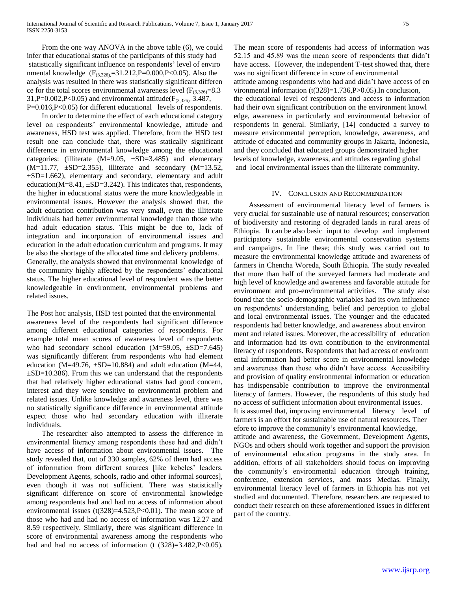From the one way ANOVA in the above table (6), we could infer that educational status of the participants of this study had statistically significant influence on respondents' level of enviro nmental knowledge  $(F_{(3,326)}=31.212,P=0.000,P<0.05)$ . Also the analysis was resulted in there was statistically significant differen ce for the total scores environmental awareness level  $(F_{(3,326)}=8.3$ 31,P=0.002,P<0.05) and environmental attitude( $F_{(3,326)}=3.487$ , P=0.016,P<0.05) for different educational levels of respondents.

 In order to determine the effect of each educational category level on respondents' environmental knowledge, attitude and awareness, HSD test was applied. Therefore, from the HSD test result one can conclude that, there was statically significant difference in environmental knowledge among the educational categories: (illiterate (M=9.05, ±SD=3.485) and elementary  $(M=11.77, \pm SD=2.355)$ , illiterate and secondary  $(M=13.52,$ ±SD=1.662), elementary and secondary, elementary and adult education( $M=8.41$ ,  $\pm SD=3.242$ ). This indicates that, respondents, the higher in educational status were the more knowledgeable in environmental issues. However the analysis showed that, the adult education contribution was very small, even the illiterate individuals had better environmental knowledge than those who had adult education status. This might be due to, lack of integration and incorporation of environmental issues and education in the adult education curriculum and programs. It may be also the shortage of the allocated time and delivery problems. Generally, the analysis showed that environmental knowledge of the community highly affected by the respondents' educational status. The higher educational level of respondent was the better knowledgeable in environment, environmental problems and related issues.

The Post hoc analysis, HSD test pointed that the environmental awareness level of the respondents had significant difference among different educational categories of respondents. For example total mean scores of awareness level of respondents who had secondary school education  $(M=59.05, \pm SD=7.645)$ was significantly different from respondents who had element education (M=49.76,  $\pm$ SD=10.884) and adult education (M=44,  $\pm$ SD=10.386). From this we can understand that the respondents that had relatively higher educational status had good concern, interest and they were sensitive to environmental problem and related issues. Unlike knowledge and awareness level, there was no statistically significance difference in environmental attitude expect those who had secondary education with illiterate individuals.

 The researcher also attempted to assess the difference in environmental literacy among respondents those had and didn't have access of information about environmental issues. The study revealed that, out of 330 samples, 62% of them had access of information from different sources [like kebeles' leaders, Development Agents, schools, radio and other informal sources], even though it was not sufficient. There was statistically significant difference on score of environmental knowledge among respondents had and had no access of information about environmental issues  $(t(328)=4.523, P<0.01)$ . The mean score of those who had and had no access of information was 12.27 and 8.59 respectively. Similarly, there was significant difference in score of environmental awareness among the respondents who had and had no access of information (t  $(328)=3.482$ ,  $P<0.05$ ).

The mean score of respondents had access of information was 52.15 and 45.89 was the mean score of respondents that didn't have access. However, the independent T-test showed that, there was no significant difference in score of environmental attitude among respondents who had and didn't have access of en vironmental information (t(328)=1.736,P>0.05).In conclusion, the educational level of respondents and access to information had their own significant contribution on the environment knowl edge, awareness in particularly and environmental behavior of respondents in general. Similarly, [14] conducted a survey to measure environmental perception, knowledge, awareness, and attitude of educated and community groups in Jakarta, Indonesia, and they concluded that educated groups demonstrated higher levels of knowledge, awareness, and attitudes regarding global and local environmental issues than the illiterate community.

#### IV. CONCLUSION AND RECOMMENDATION

 Assessment of environmental literacy level of farmers is very crucial for sustainable use of natural resources; conservation of biodiversity and restoring of degraded lands in rural areas of Ethiopia. It can be also basic input to develop and implement participatory sustainable environmental conservation systems and campaigns. In line these; this study was carried out to measure the environmental knowledge attitude and awareness of farmers in Chencha Woreda, South Ethiopia. The study revealed that more than half of the surveyed farmers had moderate and high level of knowledge and awareness and favorable attitude for environment and pro-environmental activities. The study also found that the socio-demographic variables had its own influence on respondents' understanding, belief and perception to global and local environmental issues. The younger and the educated respondents had better knowledge, and awareness about environ ment and related issues. Moreover, the accessibility of education and information had its own contribution to the environmental literacy of respondents. Respondents that had access of environm ental information had better score in environmental knowledge and awareness than those who didn't have access. Accessibility and provision of quality environmental information or education has indispensable contribution to improve the environmental literacy of farmers. However, the respondents of this study had no access of sufficient information about environmental issues. It is assumed that, improving environmental literacy level of farmers is an effort for sustainable use of natural resources. Ther efore to improve the community's environmental knowledge, attitude and awareness, the Government, Development Agents, NGOs and others should work together and support the provision of environmental education programs in the study area. In addition, efforts of all stakeholders should focus on improving the community's environmental education through training, conference, extension services, and mass Medias. Finally, environmental literacy level of farmers in Ethiopia has not yet studied and documented. Therefore, researchers are requested to conduct their research on these aforementioned issues in different part of the country.